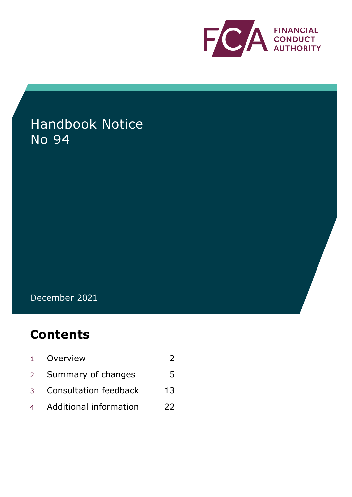

# Handbook Notice No 94

December 2021

## **Contents**

| $\mathbf{1}$ | Overview                     |    |
|--------------|------------------------------|----|
| $2^{\circ}$  | Summary of changes           | ↖  |
| 3.           | <b>Consultation feedback</b> | 13 |
|              | Additional information       | つつ |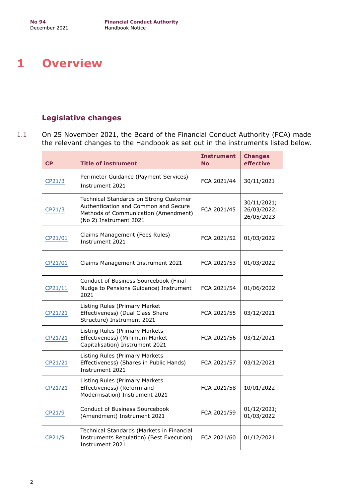## <span id="page-1-0"></span>**1 Overview**

## **Legislative changes**

1.1 On 25 November 2021, the Board of the Financial Conduct Authority (FCA) made the relevant changes to the Handbook as set out in the instruments listed below.

| CP      | <b>Title of instrument</b>                                                                                                                       | <b>Instrument</b><br><b>No</b> | <b>Changes</b><br>effective              |
|---------|--------------------------------------------------------------------------------------------------------------------------------------------------|--------------------------------|------------------------------------------|
| CP21/3  | Perimeter Guidance (Payment Services)<br>Instrument 2021                                                                                         | FCA 2021/44                    | 30/11/2021                               |
| CP21/3  | Technical Standards on Strong Customer<br>Authentication and Common and Secure<br>Methods of Communication (Amendment)<br>(No 2) Instrument 2021 | FCA 2021/45                    | 30/11/2021;<br>26/03/2022;<br>26/05/2023 |
| CP21/01 | Claims Management (Fees Rules)<br>Instrument 2021                                                                                                | FCA 2021/52                    | 01/03/2022                               |
| CP21/01 | Claims Management Instrument 2021                                                                                                                | FCA 2021/53                    | 01/03/2022                               |
| CP21/11 | Conduct of Business Sourcebook (Final<br>Nudge to Pensions Guidance) Instrument<br>2021                                                          | FCA 2021/54                    | 01/06/2022                               |
| CP21/21 | Listing Rules (Primary Market<br>Effectiveness) (Dual Class Share<br>Structure) Instrument 2021                                                  | FCA 2021/55                    | 03/12/2021                               |
| CP21/21 | Listing Rules (Primary Markets<br>Effectiveness) (Minimum Market<br>Capitalisation) Instrument 2021                                              | FCA 2021/56                    | 03/12/2021                               |
| CP21/21 | Listing Rules (Primary Markets<br>Effectiveness) (Shares in Public Hands)<br>Instrument 2021                                                     | FCA 2021/57                    | 03/12/2021                               |
| CP21/21 | Listing Rules (Primary Markets<br>Effectiveness) (Reform and<br>Modernisation) Instrument 2021                                                   | FCA 2021/58                    | 10/01/2022                               |
| CP21/9  | <b>Conduct of Business Sourcebook</b><br>(Amendment) Instrument 2021                                                                             | FCA 2021/59                    | 01/12/2021;<br>01/03/2022                |
| CP21/9  | Technical Standards (Markets in Financial<br>Instruments Regulation) (Best Execution)<br>Instrument 2021                                         | FCA 2021/60                    | 01/12/2021                               |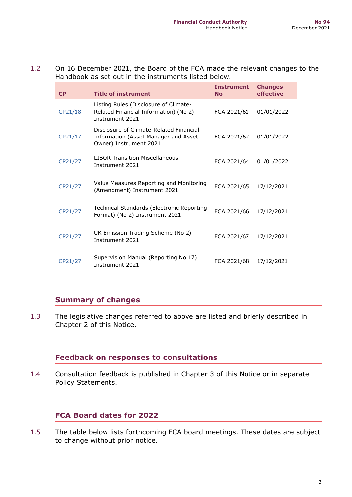1.2 On 16 December 2021, the Board of the FCA made the relevant changes to the Handbook as set out in the instruments listed below.

| <b>CP</b> | <b>Title of instrument</b>                                                                                | <b>Instrument</b><br><b>No</b> | <b>Changes</b><br>effective |
|-----------|-----------------------------------------------------------------------------------------------------------|--------------------------------|-----------------------------|
| CP21/18   | Listing Rules (Disclosure of Climate-<br>Related Financial Information) (No 2)<br>Instrument 2021         | FCA 2021/61                    | 01/01/2022                  |
| CP21/17   | Disclosure of Climate-Related Financial<br>Information (Asset Manager and Asset<br>Owner) Instrument 2021 | FCA 2021/62                    | 01/01/2022                  |
| CP21/27   | <b>LIBOR Transition Miscellaneous</b><br>Instrument 2021                                                  | FCA 2021/64                    | 01/01/2022                  |
| CP21/27   | Value Measures Reporting and Monitoring<br>(Amendment) Instrument 2021                                    | FCA 2021/65                    | 17/12/2021                  |
| CP21/27   | Technical Standards (Electronic Reporting<br>Format) (No 2) Instrument 2021                               | FCA 2021/66                    | 17/12/2021                  |
| CP21/27   | UK Emission Trading Scheme (No 2)<br>Instrument 2021                                                      | FCA 2021/67                    | 17/12/2021                  |
| CP21/27   | Supervision Manual (Reporting No 17)<br>Instrument 2021                                                   | FCA 2021/68                    | 17/12/2021                  |

## **Summary of changes**

1.3 The legislative changes referred to above are listed and briefly described in Chapter 2 of this Notice.

## **Feedback on responses to consultations**

1.4 Consultation feedback is published in Chapter 3 of this Notice or in separate Policy Statements.

## **FCA Board dates for 2022**

1.5 The table below lists forthcoming FCA board meetings. These dates are subject to change without prior notice.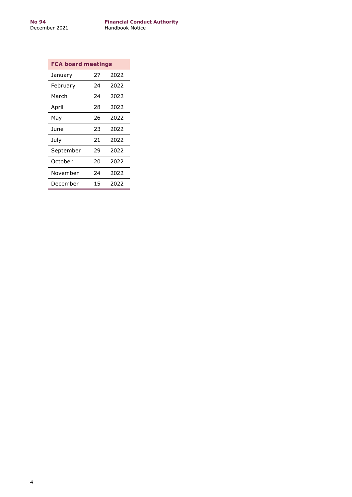r

| 2022 |
|------|
| 2022 |
| 2022 |
| 2022 |
| 2022 |
| 2022 |
| 2022 |
| 2022 |
| 2022 |
| 2022 |
| 2022 |
|      |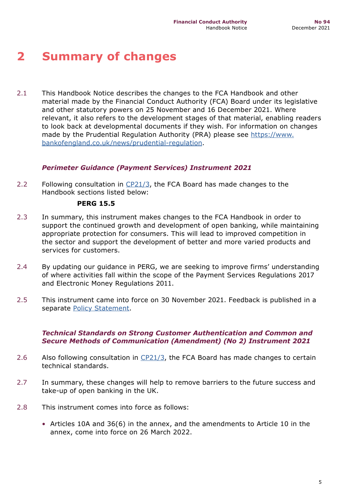# <span id="page-4-0"></span>**2 Summary of changes**

2.1 This Handbook Notice describes the changes to the FCA Handbook and other material made by the Financial Conduct Authority (FCA) Board under its legislative and other statutory powers on 25 November and 16 December 2021. Where relevant, it also refers to the development stages of that material, enabling readers to look back at developmental documents if they wish. For information on changes made by the Prudential Regulation Authority (PRA) please see [https://www.](https://www.bankofengland.co.uk/news/prudential-regulation) [bankofengland.co.uk/news/prudential-regulation](https://www.bankofengland.co.uk/news/prudential-regulation).

## *Perimeter Guidance (Payment Services) Instrument 2021*

2.2 Following consultation in [CP21/3,](https://www.fca.org.uk/publication/consultation/cp21-3.pdf) the FCA Board has made changes to the Handbook sections listed below:

## **PERG 15.5**

- 2.3 In summary, this instrument makes changes to the FCA Handbook in order to support the continued growth and development of open banking, while maintaining appropriate protection for consumers. This will lead to improved competition in the sector and support the development of better and more varied products and services for customers.
- 2.4 By updating our guidance in PERG, we are seeking to improve firms' understanding of where activities fall within the scope of the Payment Services Regulations 2017 and Electronic Money Regulations 2011.
- 2.5 This instrument came into force on 30 November 2021. Feedback is published in a separate [Policy Statement.](https://www.fca.org.uk/publication/policy/ps21-19.pdf)

## *Technical Standards on Strong Customer Authentication and Common and Secure Methods of Communication (Amendment) (No 2) Instrument 2021*

- 2.6 Also following consultation in [CP21/3](https://www.fca.org.uk/publication/consultation/cp21-3.pdf), the FCA Board has made changes to certain technical standards.
- 2.7 In summary, these changes will help to remove barriers to the future success and take-up of open banking in the UK.
- 2.8 This instrument comes into force as follows:
	- Articles 10A and 36(6) in the annex, and the amendments to Article 10 in the annex, come into force on 26 March 2022.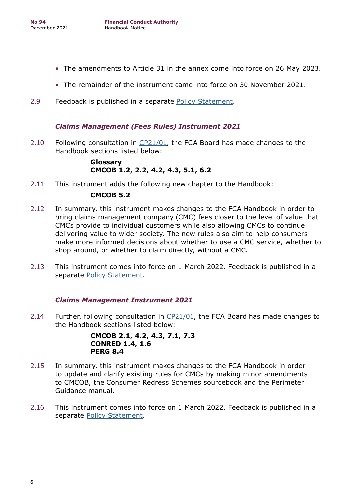- The amendments to Article 31 in the annex come into force on 26 May 2023.
- The remainder of the instrument came into force on 30 November 2021.
- 2.9 Feedback is published in a separate [Policy Statement.](https://www.fca.org.uk/publication/policy/ps21-19.pdf)

### *Claims Management (Fees Rules) Instrument 2021*

2.10 Following consultation in [CP21/01,](https://www.fca.org.uk/publication/consultation/cp21-01.pdf) the FCA Board has made changes to the Handbook sections listed below:

#### **Glossary CMCOB 1.2, 2.2, 4.2, 4.3, 5.1, 6.2**

2.11 This instrument adds the following new chapter to the Handbook:

#### **CMCOB 5.2**

- 2.12 In summary, this instrument makes changes to the FCA Handbook in order to bring claims management company (CMC) fees closer to the level of value that CMCs provide to individual customers while also allowing CMCs to continue delivering value to wider society. The new rules also aim to help consumers make more informed decisions about whether to use a CMC service, whether to shop around, or whether to claim directly, without a CMC.
- 2.13 This instrument comes into force on 1 March 2022. Feedback is published in a separate [Policy Statement](https://www.fca.org.uk/publication/policy/ps21-18.pdf).

#### *Claims Management Instrument 2021*

2.14 Further, following consultation in [CP21/01,](https://www.fca.org.uk/publication/consultation/cp21-01.pdf) the FCA Board has made changes to the Handbook sections listed below:

#### **CMCOB 2.1, 4.2, 4.3, 7.1, 7.3 CONRED 1.4, 1.6 PERG 8.4**

- 2.15 In summary, this instrument makes changes to the FCA Handbook in order to update and clarify existing rules for CMCs by making minor amendments to CMCOB, the Consumer Redress Schemes sourcebook and the Perimeter Guidance manual.
- 2.16 This instrument comes into force on 1 March 2022. Feedback is published in a separate [Policy Statement](https://www.fca.org.uk/publication/policy/ps21-18.pdf).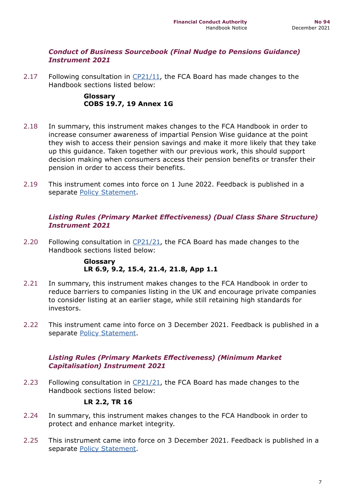### *Conduct of Business Sourcebook (Final Nudge to Pensions Guidance) Instrument 2021*

2.17 Following consultation in  $CP21/11$ , the FCA Board has made changes to the Handbook sections listed below:

### **Glossary COBS 19.7, 19 Annex 1G**

- 2.18 In summary, this instrument makes changes to the FCA Handbook in order to increase consumer awareness of impartial Pension Wise guidance at the point they wish to access their pension savings and make it more likely that they take up this guidance. Taken together with our previous work, this should support decision making when consumers access their pension benefits or transfer their pension in order to access their benefits.
- 2.19 This instrument comes into force on 1 June 2022. Feedback is published in a separate [Policy Statement](https://www.fca.org.uk/publication/policy/ps21-21.pdf).

## *Listing Rules (Primary Market Effectiveness) (Dual Class Share Structure) Instrument 2021*

2.20 Following consultation in [CP21/21,](https://www.fca.org.uk/publication/consultation/cp21-21.pdf) the FCA Board has made changes to the Handbook sections listed below:

## **Glossary LR 6.9, 9.2, 15.4, 21.4, 21.8, App 1.1**

- 2.21 In summary, this instrument makes changes to the FCA Handbook in order to reduce barriers to companies listing in the UK and encourage private companies to consider listing at an earlier stage, while still retaining high standards for investors.
- 2.22 This instrument came into force on 3 December 2021. Feedback is published in a separate [Policy Statement](https://www.fca.org.uk/publication/policy/ps21-22.pdf).

## *Listing Rules (Primary Markets Effectiveness) (Minimum Market Capitalisation) Instrument 2021*

2.23 Following consultation in [CP21/21,](https://www.fca.org.uk/publication/consultation/cp21-21.pdf) the FCA Board has made changes to the Handbook sections listed below:

## **LR 2.2, TR 16**

- 2.24 In summary, this instrument makes changes to the FCA Handbook in order to protect and enhance market integrity.
- 2.25 This instrument came into force on 3 December 2021. Feedback is published in a separate [Policy Statement](https://www.fca.org.uk/publication/policy/ps21-22.pdf).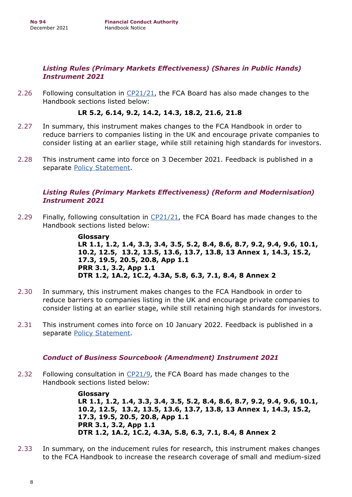## *Listing Rules (Primary Markets Effectiveness) (Shares in Public Hands) Instrument 2021*

2.26 Following consultation in [CP21/21,](https://www.fca.org.uk/publication/consultation/cp21-21.pdf) the FCA Board has also made changes to the Handbook sections listed below:

## **LR 5.2, 6.14, 9.2, 14.2, 14.3, 18.2, 21.6, 21.8**

- 2.27 In summary, this instrument makes changes to the FCA Handbook in order to reduce barriers to companies listing in the UK and encourage private companies to consider listing at an earlier stage, while still retaining high standards for investors.
- 2.28 This instrument came into force on 3 December 2021. Feedback is published in a separate [Policy Statement](https://www.fca.org.uk/publication/policy/ps21-22.pdf).

## *Listing Rules (Primary Markets Effectiveness) (Reform and Modernisation) Instrument 2021*

2.29 Finally, following consultation in [CP21/21](https://www.fca.org.uk/publication/consultation/cp21-21.pdf), the FCA Board has made changes to the Handbook sections listed below:

> **Glossary LR 1.1, 1.2, 1.4, 3.3, 3.4, 3.5, 5.2, 8.4, 8.6, 8.7, 9.2, 9.4, 9.6, 10.1, 10.2, 12.5, 13.2, 13.5, 13.6, 13.7, 13.8, 13 Annex 1, 14.3, 15.2, 17.3, 19.5, 20.5, 20.8, App 1.1 PRR 3.1, 3.2, App 1.1 DTR 1.2, 1A.2, 1C.2, 4.3A, 5.8, 6.3, 7.1, 8.4, 8 Annex 2**

- 2.30 In summary, this instrument makes changes to the FCA Handbook in order to reduce barriers to companies listing in the UK and encourage private companies to consider listing at an earlier stage, while still retaining high standards for investors.
- 2.31 This instrument comes into force on 10 January 2022. Feedback is published in a separate [Policy Statement](https://www.fca.org.uk/publication/policy/ps21-22.pdf).

## *Conduct of Business Sourcebook (Amendment) Instrument 2021*

2.32 Following consultation in [CP21/9](https://www.fca.org.uk/publication/consultation/cp21-9.pdf), the FCA Board has made changes to the Handbook sections listed below:

> **Glossary LR 1.1, 1.2, 1.4, 3.3, 3.4, 3.5, 5.2, 8.4, 8.6, 8.7, 9.2, 9.4, 9.6, 10.1, 10.2, 12.5, 13.2, 13.5, 13.6, 13.7, 13.8, 13 Annex 1, 14.3, 15.2, 17.3, 19.5, 20.5, 20.8, App 1.1 PRR 3.1, 3.2, App 1.1 DTR 1.2, 1A.2, 1C.2, 4.3A, 5.8, 6.3, 7.1, 8.4, 8 Annex 2**

2.33 In summary, on the inducement rules for research, this instrument makes changes to the FCA Handbook to increase the research coverage of small and medium-sized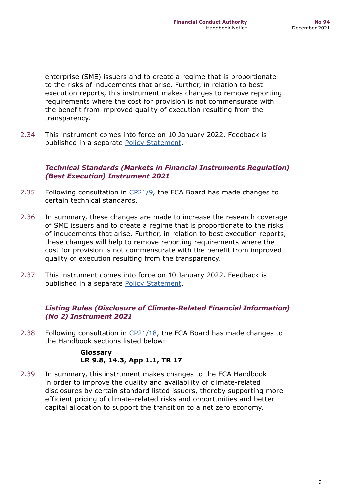enterprise (SME) issuers and to create a regime that is proportionate to the risks of inducements that arise. Further, in relation to best execution reports, this instrument makes changes to remove reporting requirements where the cost for provision is not commensurate with the benefit from improved quality of execution resulting from the transparency.

2.34 This instrument comes into force on 10 January 2022. Feedback is published in a separate [Policy Statement.](https://www.fca.org.uk/publication/policy/ps21-20.pdf)

## *Technical Standards (Markets in Financial Instruments Regulation) (Best Execution) Instrument 2021*

- 2.35 Following consultation in [CP21/9](https://www.fca.org.uk/publication/consultation/cp21-9.pdf), the FCA Board has made changes to certain technical standards.
- 2.36 In summary, these changes are made to increase the research coverage of SME issuers and to create a regime that is proportionate to the risks of inducements that arise. Further, in relation to best execution reports, these changes will help to remove reporting requirements where the cost for provision is not commensurate with the benefit from improved quality of execution resulting from the transparency.
- 2.37 This instrument comes into force on 10 January 2022. Feedback is published in a separate [Policy Statement.](https://www.fca.org.uk/publication/policy/ps21-20.pdf)

## *Listing Rules (Disclosure of Climate-Related Financial Information) (No 2) Instrument 2021*

2.38 Following consultation in  $CP21/18$  $CP21/18$ , the FCA Board has made changes to the Handbook sections listed below:

#### **Glossary LR 9.8, 14.3, App 1.1, TR 17**

2.39 In summary, this instrument makes changes to the FCA Handbook in order to improve the quality and availability of climate-related disclosures by certain standard listed issuers, thereby supporting more efficient pricing of climate-related risks and opportunities and better capital allocation to support the transition to a net zero economy.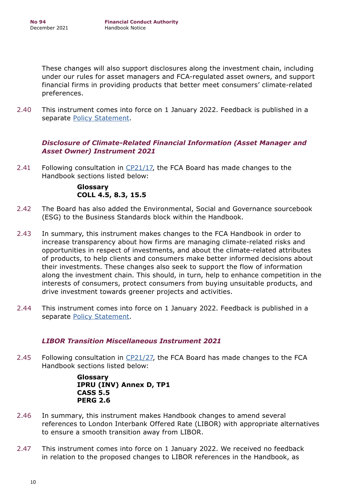These changes will also support disclosures along the investment chain, including under our rules for asset managers and FCA-regulated asset owners, and support financial firms in providing products that better meet consumers' climate-related preferences.

2.40 This instrument comes into force on 1 January 2022. Feedback is published in a separate [Policy Statement.](https://www.fca.org.uk/publication/policy/ps21-23.pdf)

## *Disclosure of Climate-Related Financial Information (Asset Manager and Asset Owner) Instrument 2021*

2.41 Following consultation in [CP21](https://www.fca.org.uk/publication/consultation/cp21-17.pdf)/17, the FCA Board has made changes to the Handbook sections listed below:

> **Glossary COLL 4.5, 8.3, 15.5**

- 2.42 The Board has also added the Environmental, Social and Governance sourcebook (ESG) to the Business Standards block within the Handbook.
- 2.43 In summary, this instrument makes changes to the FCA Handbook in order to increase transparency about how firms are managing climate-related risks and opportunities in respect of investments, and about the climate-related attributes of products, to help clients and consumers make better informed decisions about their investments. These changes also seek to support the flow of information along the investment chain. This should, in turn, help to enhance competition in the interests of consumers, protect consumers from buying unsuitable products, and drive investment towards greener projects and activities.
- 2.44 This instrument comes into force on 1 January 2022. Feedback is published in a separate [Policy Statement.](https://www.fca.org.uk/publication/policy/ps21-24.pdf)

## *LIBOR Transition Miscellaneous Instrument 2021*

2.45 Following consultation in [CP21/27](https://www.fca.org.uk/publication/consultation/cp21-27.pdf), the FCA Board has made changes to the FCA Handbook sections listed below:

> **Glossary IPRU (INV) Annex D, TP1 CASS 5.5 PERG 2.6**

- to ensure a smooth transition away from LIBOR. 2.46 In summary, this instrument makes Handbook changes to amend several references to London Interbank Offered Rate (LIBOR) with appropriate alternatives
- 2.47 This instrument comes into force on 1 January 2022. We received no feedback in relation to the proposed changes to LIBOR references in the Handbook, as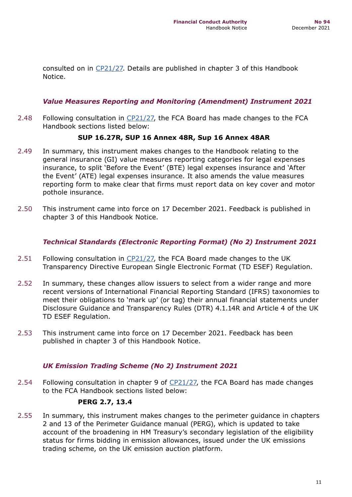consulted on in [CP21/27](https://www.fca.org.uk/publication/consultation/cp21-27.pdf). Details are published in chapter 3 of this Handbook Notice.

## *Value Measures Reporting and Monitoring (Amendment) Instrument 2021*

2.48 Following consultation in [CP21/27,](https://www.fca.org.uk/publication/consultation/cp21-27.pdf) the FCA Board has made changes to the FCA Handbook sections listed below:

### **SUP 16.27R, SUP 16 Annex 48R, Sup 16 Annex 48AR**

- 2.49 In summary, this instrument makes changes to the Handbook relating to the general insurance (GI) value measures reporting categories for legal expenses insurance, to split 'Before the Event' (BTE) legal expenses insurance and 'After the Event' (ATE) legal expenses insurance. It also amends the value measures reporting form to make clear that firms must report data on key cover and motor pothole insurance.
- 2.50 This instrument came into force on 17 December 2021. Feedback is published in chapter 3 of this Handbook Notice.

## *Technical Standards (Electronic Reporting Format) (No 2) Instrument 2021*

- 2.51 Following consultation in [CP21/27,](https://www.fca.org.uk/publication/consultation/cp21-27.pdf) the FCA Board made changes to the UK Transparency Directive European Single Electronic Format (TD ESEF) Regulation.
- TD ESEF Regulation. 2.52 In summary, these changes allow issuers to select from a wider range and more recent versions of International Financial Reporting Standard (IFRS) taxonomies to meet their obligations to 'mark up' (or tag) their annual financial statements under Disclosure Guidance and Transparency Rules (DTR) 4.1.14R and Article 4 of the UK
- 2.53 This instrument came into force on 17 December 2021. Feedback has been published in chapter 3 of this Handbook Notice.

## *UK Emission Trading Scheme (No 2) Instrument 2021*

2.54 Following consultation in chapter 9 of [CP21/27](https://www.fca.org.uk/publication/consultation/cp21-27.pdf), the FCA Board has made changes to the FCA Handbook sections listed below:

## **PERG 2.7, 13.4**

2.55 In summary, this instrument makes changes to the perimeter guidance in chapters 2 and 13 of the Perimeter Guidance manual (PERG), which is updated to take account of the broadening in HM Treasury's secondary legislation of the eligibility status for firms bidding in emission allowances, issued under the UK emissions trading scheme, on the UK emission auction platform.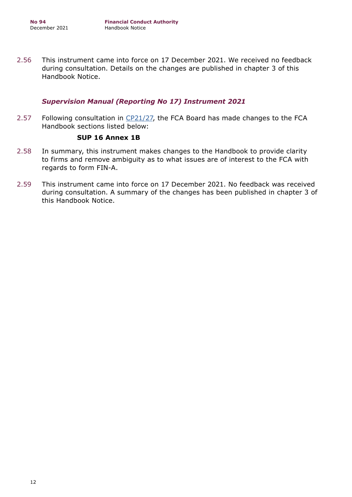2.56 This instrument came into force on 17 December 2021. We received no feedback during consultation. Details on the changes are published in chapter 3 of this Handbook Notice.

## *Supervision Manual (Reporting No 17) Instrument 2021*

2.57 Following consultation in [CP21/27](https://www.fca.org.uk/publication/consultation/cp21-27.pdf), the FCA Board has made changes to the FCA Handbook sections listed below:

### **SUP 16 Annex 1B**

- 2.58 In summary, this instrument makes changes to the Handbook to provide clarity to firms and remove ambiguity as to what issues are of interest to the FCA with regards to form FIN-A.
- 2.59 This instrument came into force on 17 December 2021. No feedback was received during consultation. A summary of the changes has been published in chapter 3 of this Handbook Notice.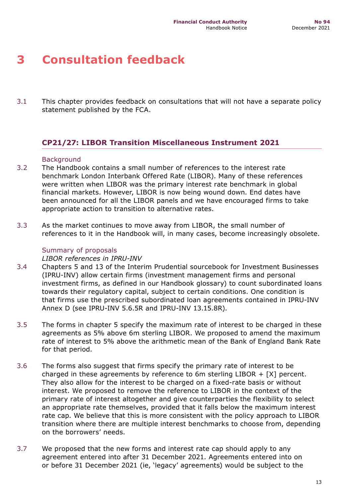#### <span id="page-12-0"></span>**3 Consultation feedback**

3.1 This chapter provides feedback on consultations that will not have a separate policy statement published by the FCA.

## **CP21/27: LIBOR Transition Miscellaneous Instrument 2021**

### **Background**

- 3.2 The Handbook contains a small number of references to the interest rate benchmark London Interbank Offered Rate (LIBOR). Many of these references were written when LIBOR was the primary interest rate benchmark in global financial markets. However, LIBOR is now being wound down. End dates have been announced for all the LIBOR panels and we have encouraged firms to take appropriate action to transition to alternative rates.
- 3.3 As the market continues to move away from LIBOR, the small number of references to it in the Handbook will, in many cases, become increasingly obsolete.

#### Summary of proposals

#### *LIBOR references in IPRU-INV*

- 3.4 Chapters 5 and 13 of the Interim Prudential sourcebook for Investment Businesses (IPRU-INV) allow certain firms (investment management firms and personal investment firms, as defined in our Handbook glossary) to count subordinated loans towards their regulatory capital, subject to certain conditions. One condition is that firms use the prescribed subordinated loan agreements contained in IPRU-INV Annex D (see IPRU-INV 5.6.5R and IPRU-INV [13.15.8R\)](https://13.15.8R).
- 3.5 The forms in chapter 5 specify the maximum rate of interest to be charged in these agreements as 5% above 6m sterling LIBOR. We proposed to amend the maximum rate of interest to 5% above the arithmetic mean of the Bank of England Bank Rate for that period.
- 3.6 The forms also suggest that firms specify the primary rate of interest to be charged in these agreements by reference to 6m sterling LIBOR + [X] percent. They also allow for the interest to be charged on a fixed-rate basis or without interest. We proposed to remove the reference to LIBOR in the context of the primary rate of interest altogether and give counterparties the flexibility to select an appropriate rate themselves, provided that it falls below the maximum interest rate cap. We believe that this is more consistent with the policy approach to LIBOR transition where there are multiple interest benchmarks to choose from, depending on the borrowers' needs.
- 3.7 We proposed that the new forms and interest rate cap should apply to any agreement entered into after 31 December 2021. Agreements entered into on or before 31 December 2021 (ie, 'legacy' agreements) would be subject to the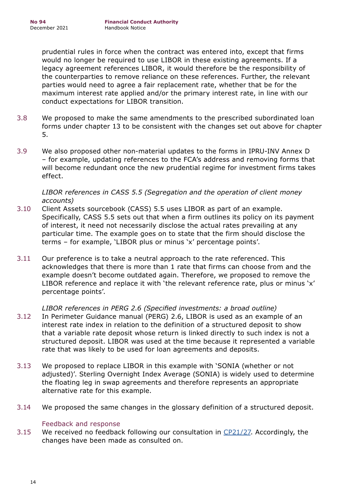prudential rules in force when the contract was entered into, except that firms would no longer be required to use LIBOR in these existing agreements. If a legacy agreement references LIBOR, it would therefore be the responsibility of the counterparties to remove reliance on these references. Further, the relevant parties would need to agree a fair replacement rate, whether that be for the maximum interest rate applied and/or the primary interest rate, in line with our conduct expectations for LIBOR transition.

- 3.8 We proposed to make the same amendments to the prescribed subordinated loan forms under chapter 13 to be consistent with the changes set out above for chapter 5.
- 3.9 We also proposed other non-material updates to the forms in IPRU-INV Annex D – for example, updating references to the FCA's address and removing forms that will become redundant once the new prudential regime for investment firms takes effect.

## *LIBOR references in CASS 5.5 (Segregation and the operation of client money accounts)*

- 3.10 Client Assets sourcebook (CASS) 5.5 uses LIBOR as part of an example. Specifically, CASS 5.5 sets out that when a firm outlines its policy on its payment of interest, it need not necessarily disclose the actual rates prevailing at any particular time. The example goes on to state that the firm should disclose the terms – for example, 'LIBOR plus or minus 'x' percentage points'.
- 3.11 Our preference is to take a neutral approach to the rate referenced. This acknowledges that there is more than 1 rate that firms can choose from and the example doesn't become outdated again. Therefore, we proposed to remove the LIBOR reference and replace it with 'the relevant reference rate, plus or minus 'x' percentage points'.

## *LIBOR references in PERG 2.6 (Specified investments: a broad outline)*

- 3.12 In Perimeter Guidance manual (PERG) 2.6, LIBOR is used as an example of an interest rate index in relation to the definition of a structured deposit to show that a variable rate deposit whose return is linked directly to such index is not a structured deposit. LIBOR was used at the time because it represented a variable rate that was likely to be used for loan agreements and deposits.
- 3.13 We proposed to replace LIBOR in this example with 'SONIA (whether or not adjusted)'. Sterling Overnight Index Average (SONIA) is widely used to determine the floating leg in swap agreements and therefore represents an appropriate alternative rate for this example.
- 3.14 We proposed the same changes in the glossary definition of a structured deposit.

#### Feedback and response

3.15 We received no feedback following our consultation in [CP21/27.](https://www.fca.org.uk/publication/consultation/cp21-27.pdf) Accordingly, the changes have been made as consulted on.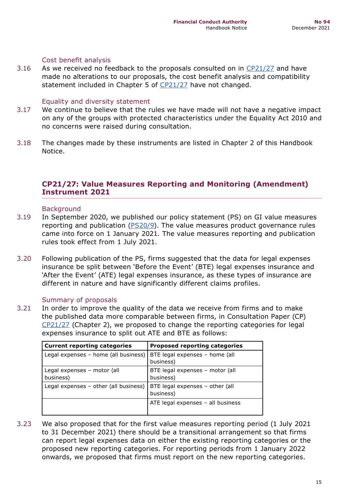#### Cost benefit analysis

3.16 As we received no feedback to the proposals consulted on in [CP21/27](https://www.fca.org.uk/publication/consultation/cp21-27.pdf) and have made no alterations to our proposals, the cost benefit analysis and compatibility statement included in Chapter 5 of [CP21/27](https://www.fca.org.uk/publication/consultation/cp21-27.pdf) have not changed.

#### Equality and diversity statement

- 3.17 We continue to believe that the rules we have made will not have a negative impact on any of the groups with protected characteristics under the Equality Act 2010 and no concerns were raised during consultation.
- 3.18 The changes made by these instruments are listed in Chapter 2 of this Handbook Notice.

## **CP21/27: Value Measures Reporting and Monitoring (Amendment) Instrument 2021**

#### Background

- 3.19 In September 2020, we published our policy statement (PS) on GI value measures reporting and publication [\(PS20/9](https://www.fca.org.uk/publication/policy/ps20-9.pdf)). The value measures product governance rules came into force on 1 January 2021. The value measures reporting and publication rules took effect from 1 July 2021.
- 3.20 Following publication of the PS, firms suggested that the data for legal expenses insurance be split between 'Before the Event' (BTE) legal expenses insurance and 'After the Event' (ATE) legal expenses insurance, as these types of insurance are different in nature and have significantly different claims profiles.

#### Summary of proposals

3.21 In order to improve the quality of the data we receive from firms and to make the published data more comparable between firms, in Consultation Paper (CP) [CP21/27](https://www.fca.org.uk/publication/consultation/cp21-27.pdf) (Chapter 2), we proposed to change the reporting categories for legal expenses insurance to split out ATE and BTE as follows:

| <b>Current reporting categories</b>      | <b>Proposed reporting categories</b>         |  |
|------------------------------------------|----------------------------------------------|--|
| Legal expenses - home (all business)     | BTE legal expenses - home (all<br>business)  |  |
| Legal expenses - motor (all<br>business) | BTE legal expenses - motor (all<br>business) |  |
| Legal expenses – other (all business)    | BTE legal expenses - other (all<br>business) |  |
|                                          | ATE legal expenses - all business            |  |

3.23 We also proposed that for the first value measures reporting period (1 July 2021 to 31 December 2021) there should be a transitional arrangement so that firms can report legal expenses data on either the existing reporting categories or the proposed new reporting categories. For reporting periods from 1 January 2022 onwards, we proposed that firms must report on the new reporting categories.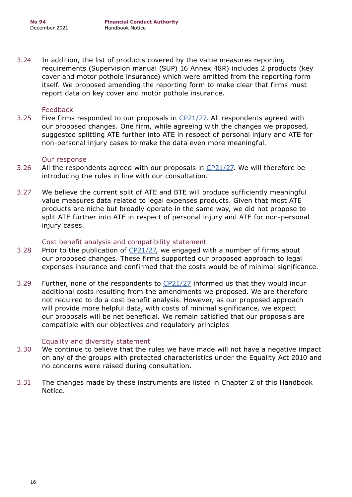3.24 In addition, the list of products covered by the value measures reporting requirements (Supervision manual (SUP) 16 Annex 48R) includes 2 products (key cover and motor pothole insurance) which were omitted from the reporting form itself. We proposed amending the reporting form to make clear that firms must report data on key cover and motor pothole insurance.

#### Feedback

3.25 Five firms responded to our proposals in [CP21/27.](https://www.fca.org.uk/publication/consultation/cp21-27.pdf) All respondents agreed with our proposed changes. One firm, while agreeing with the changes we proposed, suggested splitting ATE further into ATE in respect of personal injury and ATE for non-personal injury cases to make the data even more meaningful.

#### Our response

- 3.26 All the respondents agreed with our proposals in [CP21/27.](https://www.fca.org.uk/publication/consultation/cp21-27.pdf) We will therefore be introducing the rules in line with our consultation.
- 3.27 We believe the current split of ATE and BTE will produce sufficiently meaningful value measures data related to legal expenses products. Given that most ATE products are niche but broadly operate in the same way, we did not propose to split ATE further into ATE in respect of personal injury and ATE for non-personal injury cases.

### Cost benefit analysis and compatibility statement

- 3.28 Prior to the publication of [CP21/27](https://www.fca.org.uk/publication/consultation/cp21-27.pdf), we engaged with a number of firms about our proposed changes. These firms supported our proposed approach to legal expenses insurance and confirmed that the costs would be of minimal significance.
- 3.29 Further, none of the respondents to [CP21/27](https://www.fca.org.uk/publication/consultation/cp21-27.pdf) informed us that they would incur additional costs resulting from the amendments we proposed. We are therefore not required to do a cost benefit analysis. However, as our proposed approach will provide more helpful data, with costs of minimal significance, we expect our proposals will be net beneficial. We remain satisfied that our proposals are compatible with our objectives and regulatory principles

#### Equality and diversity statement

- 3.30 We continue to believe that the rules we have made will not have a negative impact on any of the groups with protected characteristics under the Equality Act 2010 and no concerns were raised during consultation.
- 3.31 The changes made by these instruments are listed in Chapter 2 of this Handbook Notice.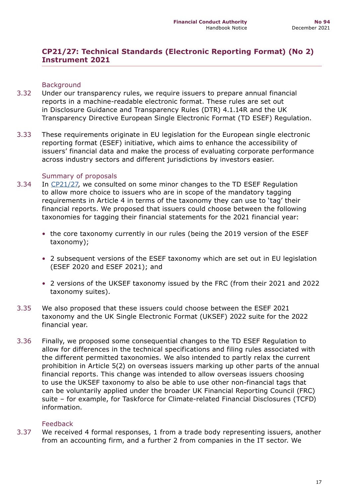## **CP21/27: Technical Standards (Electronic Reporting Format) (No 2) Instrument 2021**

### **Background**

- 3.32 Under our transparency rules, we require issuers to prepare annual financial reports in a machine-readable electronic format. These rules are set out in Disclosure Guidance and Transparency Rules (DTR) 4.1.14R and the UK Transparency Directive European Single Electronic Format (TD ESEF) Regulation.
- 3.33 These requirements originate in EU legislation for the European single electronic reporting format (ESEF) initiative, which aims to enhance the accessibility of issuers' financial data and make the process of evaluating corporate performance across industry sectors and different jurisdictions by investors easier.

#### Summary of proposals

- 3.34 In [CP21/27,](https://www.fca.org.uk/publication/consultation/cp21-27.pdf) we consulted on some minor changes to the TD ESEF Regulation to allow more choice to issuers who are in scope of the mandatory tagging requirements in Article 4 in terms of the taxonomy they can use to 'tag' their financial reports. We proposed that issuers could choose between the following taxonomies for tagging their financial statements for the 2021 financial year:
	- the core taxonomy currently in our rules (being the 2019 version of the ESEF taxonomy);
	- 2 subsequent versions of the ESEF taxonomy which are set out in EU legislation (ESEF 2020 and ESEF 2021); and
	- 2 versions of the UKSEF taxonomy issued by the FRC (from their 2021 and 2022 taxonomy suites).
- 3.35 We also proposed that these issuers could choose between the ESEF 2021 taxonomy and the UK Single Electronic Format (UKSEF) 2022 suite for the 2022 financial year.
- 3.36 Finally, we proposed some consequential changes to the TD ESEF Regulation to allow for differences in the technical specifications and filing rules associated with the different permitted taxonomies. We also intended to partly relax the current prohibition in Article 5(2) on overseas issuers marking up other parts of the annual financial reports. This change was intended to allow overseas issuers choosing to use the UKSEF taxonomy to also be able to use other non-financial tags that can be voluntarily applied under the broader UK Financial Reporting Council (FRC) suite – for example, for Taskforce for Climate-related Financial Disclosures (TCFD) information.

#### Feedback

3.37 We received 4 formal responses, 1 from a trade body representing issuers, another from an accounting firm, and a further 2 from companies in the IT sector. We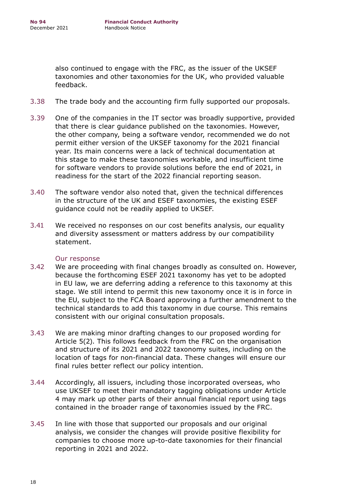also continued to engage with the FRC, as the issuer of the UKSEF taxonomies and other taxonomies for the UK, who provided valuable feedback.

- 3.38 The trade body and the accounting firm fully supported our proposals.
- 3.39 One of the companies in the IT sector was broadly supportive, provided that there is clear guidance published on the taxonomies. However, the other company, being a software vendor, recommended we do not permit either version of the UKSEF taxonomy for the 2021 financial year. Its main concerns were a lack of technical documentation at this stage to make these taxonomies workable, and insufficient time for software vendors to provide solutions before the end of 2021, in readiness for the start of the 2022 financial reporting season.
- 3.40 The software vendor also noted that, given the technical differences in the structure of the UK and ESEF taxonomies, the existing ESEF guidance could not be readily applied to UKSEF.
- 3.41 We received no responses on our cost benefits analysis, our equality and diversity assessment or matters address by our compatibility statement.

#### Our response

- 3.42 We are proceeding with final changes broadly as consulted on. However, because the forthcoming ESEF 2021 taxonomy has yet to be adopted in EU law, we are deferring adding a reference to this taxonomy at this stage. We still intend to permit this new taxonomy once it is in force in the EU, subject to the FCA Board approving a further amendment to the technical standards to add this taxonomy in due course. This remains consistent with our original consultation proposals.
- 3.43 We are making minor drafting changes to our proposed wording for Article 5(2). This follows feedback from the FRC on the organisation and structure of its 2021 and 2022 taxonomy suites, including on the location of tags for non-financial data. These changes will ensure our final rules better reflect our policy intention.
- contained in the broader range of taxonomies issued by the FRC. 3.44 Accordingly, all issuers, including those incorporated overseas, who use UKSEF to meet their mandatory tagging obligations under Article 4 may mark up other parts of their annual financial report using tags
- 3.45 In line with those that supported our proposals and our original analysis, we consider the changes will provide positive flexibility for companies to choose more up-to-date taxonomies for their financial reporting in 2021 and 2022.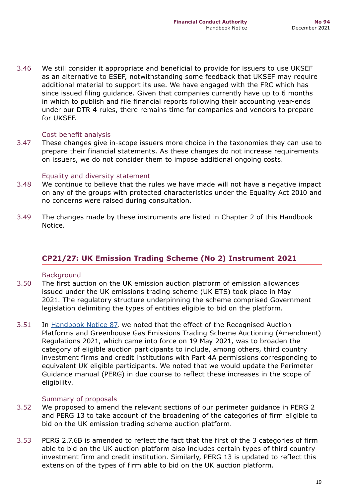for UKSEF. 3.46 We still consider it appropriate and beneficial to provide for issuers to use UKSEF as an alternative to ESEF, notwithstanding some feedback that UKSEF may require additional material to support its use. We have engaged with the FRC which has since issued filing guidance. Given that companies currently have up to 6 months in which to publish and file financial reports following their accounting year-ends under our DTR 4 rules, there remains time for companies and vendors to prepare

#### Cost benefit analysis

3.47 These changes give in-scope issuers more choice in the taxonomies they can use to prepare their financial statements. As these changes do not increase requirements on issuers, we do not consider them to impose additional ongoing costs.

### Equality and diversity statement

- 3.48 We continue to believe that the rules we have made will not have a negative impact on any of the groups with protected characteristics under the Equality Act 2010 and no concerns were raised during consultation.
- 3.49 The changes made by these instruments are listed in Chapter 2 of this Handbook Notice.

## **CP21/27: UK Emission Trading Scheme (No 2) Instrument 2021**

## **Background**

- 3.50 The first auction on the UK emission auction platform of emission allowances issued under the UK emissions trading scheme (UK ETS) took place in May 2021. The regulatory structure underpinning the scheme comprised Government legislation delimiting the types of entities eligible to bid on the platform.
- 3.51 In [Handbook Notice 87,](https://www.fca.org.uk/publication/handbook/handbook-notice-87.pdf) we noted that the effect of the Recognised Auction Platforms and Greenhouse Gas Emissions Trading Scheme Auctioning (Amendment) Regulations 2021, which came into force on 19 May 2021, was to broaden the category of eligible auction participants to include, among others, third country investment firms and credit institutions with Part 4A permissions corresponding to equivalent UK eligible participants. We noted that we would update the Perimeter Guidance manual (PERG) in due course to reflect these increases in the scope of eligibility.

#### Summary of proposals

- 3.52 We proposed to amend the relevant sections of our perimeter guidance in PERG 2 and PERG 13 to take account of the broadening of the categories of firm eligible to bid on the UK emission trading scheme auction platform.
- 3.53 PERG 2.7.6B is amended to reflect the fact that the first of the 3 categories of firm able to bid on the UK auction platform also includes certain types of third country investment firm and credit institution. Similarly, PERG 13 is updated to reflect this extension of the types of firm able to bid on the UK auction platform.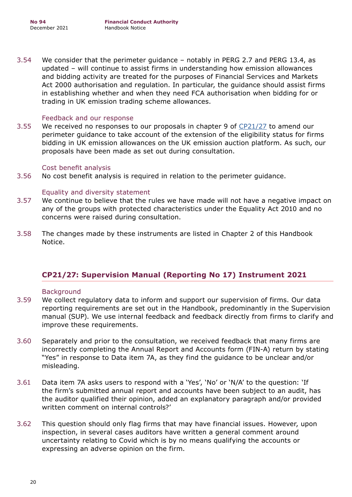3.54 We consider that the perimeter guidance – notably in PERG 2.7 and PERG 13.4, as updated – will continue to assist firms in understanding how emission allowances and bidding activity are treated for the purposes of Financial Services and Markets Act 2000 authorisation and regulation. In particular, the guidance should assist firms in establishing whether and when they need FCA authorisation when bidding for or trading in UK emission trading scheme allowances.

#### Feedback and our response

3.55 We received no responses to our proposals in chapter 9 of [CP21/27](https://www.fca.org.uk/publication/consultation/cp21-27.pdf) to amend our perimeter guidance to take account of the extension of the eligibility status for firms bidding in UK emission allowances on the UK emission auction platform. As such, our proposals have been made as set out during consultation.

#### Cost benefit analysis

3.56 No cost benefit analysis is required in relation to the perimeter guidance.

#### Equality and diversity statement

- 3.57 We continue to believe that the rules we have made will not have a negative impact on any of the groups with protected characteristics under the Equality Act 2010 and no concerns were raised during consultation.
- 3.58 The changes made by these instruments are listed in Chapter 2 of this Handbook Notice.

## **CP21/27: Supervision Manual (Reporting No 17) Instrument 2021**

#### **Background**

- 3.59 We collect regulatory data to inform and support our supervision of firms. Our data reporting requirements are set out in the Handbook, predominantly in the Supervision manual (SUP). We use internal feedback and feedback directly from firms to clarify and improve these requirements.
- 3.60 Separately and prior to the consultation, we received feedback that many firms are incorrectly completing the Annual Report and Accounts form (FIN-A) return by stating "Yes" in response to Data item 7A, as they find the guidance to be unclear and/or misleading.
- 3.61 Data item 7A asks users to respond with a 'Yes', 'No' or 'N/A' to the question: 'If the firm's submitted annual report and accounts have been subject to an audit, has the auditor qualified their opinion, added an explanatory paragraph and/or provided written comment on internal controls?'
- 3.62 This question should only flag firms that may have financial issues. However, upon inspection, in several cases auditors have written a general comment around uncertainty relating to Covid which is by no means qualifying the accounts or expressing an adverse opinion on the firm.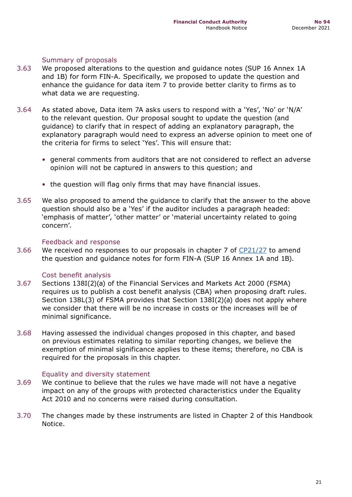#### Summary of proposals

- 3.63 We proposed alterations to the question and guidance notes (SUP 16 Annex 1A and 1B) for form FIN-A. Specifically, we proposed to update the question and enhance the guidance for data item 7 to provide better clarity to firms as to what data we are requesting.
- 3.64 As stated above, Data item 7A asks users to respond with a 'Yes', 'No' or 'N/A' to the relevant question. Our proposal sought to update the question (and guidance) to clarify that in respect of adding an explanatory paragraph, the explanatory paragraph would need to express an adverse opinion to meet one of the criteria for firms to select 'Yes'. This will ensure that:
	- general comments from auditors that are not considered to reflect an adverse opinion will not be captured in answers to this question; and
	- the question will flag only firms that may have financial issues.
- 3.65 We also proposed to amend the guidance to clarify that the answer to the above question should also be a 'Yes' if the auditor includes a paragraph headed: 'emphasis of matter', 'other matter' or 'material uncertainty related to going concern'.

#### Feedback and response

3.66 We received no responses to our proposals in chapter 7 of [CP21/27](https://www.fca.org.uk/publication/consultation/cp21-27.pdf) to amend the question and guidance notes for form FIN-A (SUP 16 Annex 1A and 1B).

#### Cost benefit analysis

- 3.67 Sections 138I(2)(a) of the Financial Services and Markets Act 2000 (FSMA) requires us to publish a cost benefit analysis (CBA) when proposing draft rules. Section 138L(3) of FSMA provides that Section 138I(2)(a) does not apply where we consider that there will be no increase in costs or the increases will be of minimal significance.
- 3.68 Having assessed the individual changes proposed in this chapter, and based on previous estimates relating to similar reporting changes, we believe the exemption of minimal significance applies to these items; therefore, no CBA is required for the proposals in this chapter.

#### Equality and diversity statement

- 3.69 We continue to believe that the rules we have made will not have a negative impact on any of the groups with protected characteristics under the Equality Act 2010 and no concerns were raised during consultation.
- 3.70 The changes made by these instruments are listed in Chapter 2 of this Handbook Notice.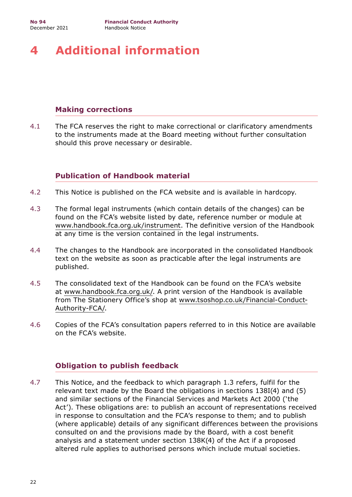# <span id="page-21-0"></span>**4 Additional information**

## **Making corrections**

4.1 The FCA reserves the right to make correctional or clarificatory amendments to the instruments made at the Board meeting without further consultation should this prove necessary or desirable.

## **Publication of Handbook material**

- 4.2 This Notice is published on the FCA website and is available in hardcopy.
- 4.3 The formal legal instruments (which contain details of the changes) can be found on the FCA's website listed by date, reference number or module at [www.handbook.fca.org.uk/instrument.](https://www.handbook.fca.org.uk/instrument) The definitive version of the Handbook at any time is the version contained in the legal instruments.
- 4.4 The changes to the Handbook are incorporated in the consolidated Handbook text on the website as soon as practicable after the legal instruments are published.
- 4.5 The consolidated text of the Handbook can be found on the FCA's website at <www.handbook.fca.org.uk>/. A print version of the Handbook is available from The Stationery Office's shop at [www.tsoshop.co.uk/Financial-Conduct-](https://www.tsoshop.co.uk/Financial-Conduct-Authority-FCA/)[Authority-FCA/.](https://www.tsoshop.co.uk/Financial-Conduct-Authority-FCA/)
- 4.6 Copies of the FCA's consultation papers referred to in this Notice are available on the FCA's website.

## **Obligation to publish feedback**

4.7 This Notice, and the feedback to which paragraph 1.3 refers, fulfil for the relevant text made by the Board the obligations in sections 138I(4) and (5) and similar sections of the Financial Services and Markets Act 2000 ('the Act'). These obligations are: to publish an account of representations received in response to consultation and the FCA's response to them; and to publish (where applicable) details of any significant differences between the provisions consulted on and the provisions made by the Board, with a cost benefit analysis and a statement under section 138K(4) of the Act if a proposed altered rule applies to authorised persons which include mutual societies.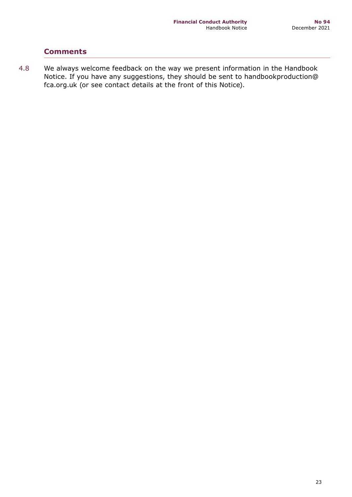## **Comments**

4.8 We always welcome feedback on the way we present information in the Handbook Notice. If you have any suggestions, they should be sent to handbookproduction@ fca.org.uk (or see contact details at the front of this Notice).